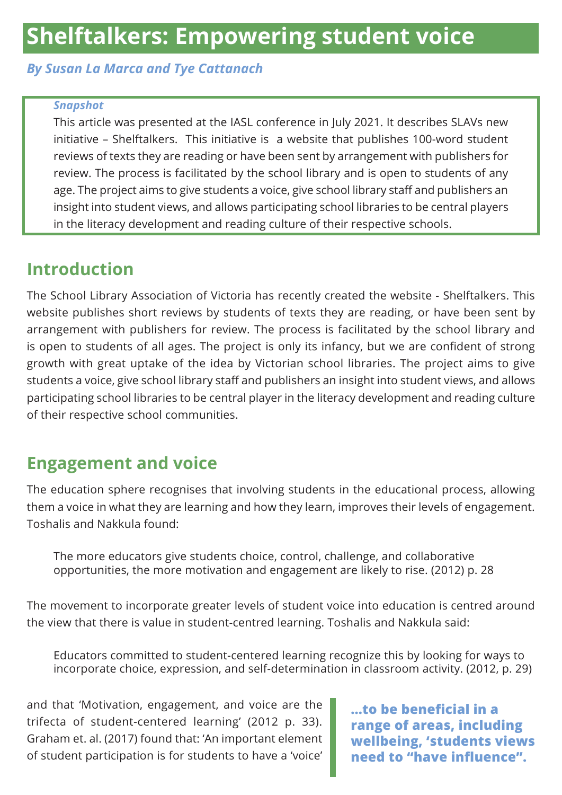# **Shelftalkers: Empowering student voice**

#### *By Susan La Marca and Tye Cattanach*

#### *Snapshot*

This article was presented at the IASL conference in July 2021. It describes SLAVs new initiative – Shelftalkers. This initiative is a website that publishes 100-word student reviews of texts they are reading or have been sent by arrangement with publishers for review. The process is facilitated by the school library and is open to students of any age. The project aims to give students a voice, give school library staff and publishers an insight into student views, and allows participating school libraries to be central players in the literacy development and reading culture of their respective schools.

#### **Introduction**

The School Library Association of Victoria has recently created the website - Shelftalkers. This website publishes short reviews by students of texts they are reading, or have been sent by arrangement with publishers for review. The process is facilitated by the school library and is open to students of all ages. The project is only its infancy, but we are confident of strong growth with great uptake of the idea by Victorian school libraries. The project aims to give students a voice, give school library staff and publishers an insight into student views, and allows participating school libraries to be central player in the literacy development and reading culture of their respective school communities.

### **Engagement and voice**

The education sphere recognises that involving students in the educational process, allowing them a voice in what they are learning and how they learn, improves their levels of engagement. Toshalis and Nakkula found:

The more educators give students choice, control, challenge, and collaborative opportunities, the more motivation and engagement are likely to rise. (2012) p. 28

The movement to incorporate greater levels of student voice into education is centred around the view that there is value in student-centred learning. Toshalis and Nakkula said:

Educators committed to student-centered learning recognize this by looking for ways to incorporate choice, expression, and self-determination in classroom activity. (2012, p. 29)

and that 'Motivation, engagement, and voice are the trifecta of student-centered learning' (2012 p. 33). Graham et. al. (2017) found that: 'An important element of student participation is for students to have a 'voice'

**…to be beneficial in a range of areas, including wellbeing, 'students views need to "have influence".**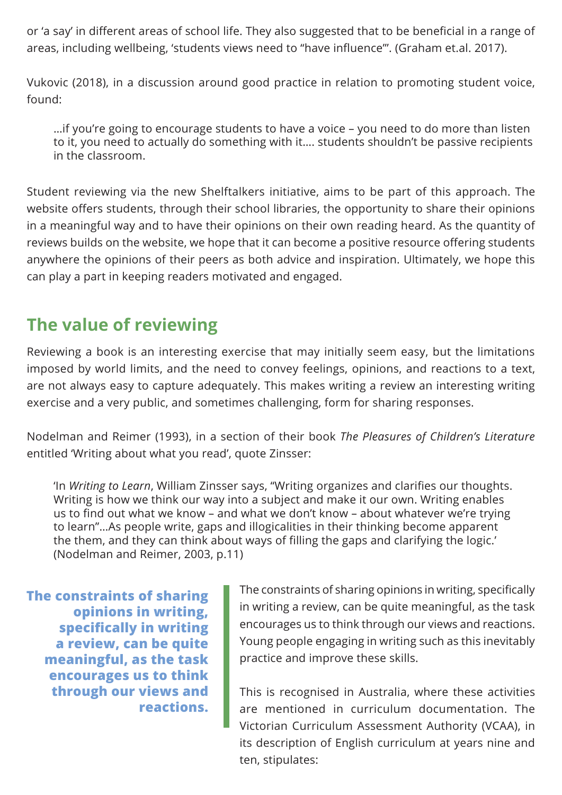or 'a say' in different areas of school life. They also suggested that to be beneficial in a range of areas, including wellbeing, 'students views need to "have influence"'. (Graham et.al. 2017).

Vukovic (2018), in a discussion around good practice in relation to promoting student voice, found:

…if you're going to encourage students to have a voice – you need to do more than listen to it, you need to actually do something with it…. students shouldn't be passive recipients in the classroom.

Student reviewing via the new Shelftalkers initiative, aims to be part of this approach. The website offers students, through their school libraries, the opportunity to share their opinions in a meaningful way and to have their opinions on their own reading heard. As the quantity of reviews builds on the website, we hope that it can become a positive resource offering students anywhere the opinions of their peers as both advice and inspiration. Ultimately, we hope this can play a part in keeping readers motivated and engaged.

### **The value of reviewing**

Reviewing a book is an interesting exercise that may initially seem easy, but the limitations imposed by world limits, and the need to convey feelings, opinions, and reactions to a text, are not always easy to capture adequately. This makes writing a review an interesting writing exercise and a very public, and sometimes challenging, form for sharing responses.

Nodelman and Reimer (1993), in a section of their book *The Pleasures of Children's Literature* entitled 'Writing about what you read', quote Zinsser:

'In *Writing to Learn*, William Zinsser says, "Writing organizes and clarifies our thoughts. Writing is how we think our way into a subject and make it our own. Writing enables us to find out what we know – and what we don't know – about whatever we're trying to learn"…As people write, gaps and illogicalities in their thinking become apparent the them, and they can think about ways of filling the gaps and clarifying the logic.' (Nodelman and Reimer, 2003, p.11)

**The constraints of sharing opinions in writing, specifically in writing a review, can be quite meaningful, as the task encourages us to think through our views and reactions.**

The constraints of sharing opinions in writing, specifically in writing a review, can be quite meaningful, as the task encourages us to think through our views and reactions. Young people engaging in writing such as this inevitably practice and improve these skills.

This is recognised in Australia, where these activities are mentioned in curriculum documentation. The Victorian Curriculum Assessment Authority (VCAA), in its description of English curriculum at years nine and ten, stipulates: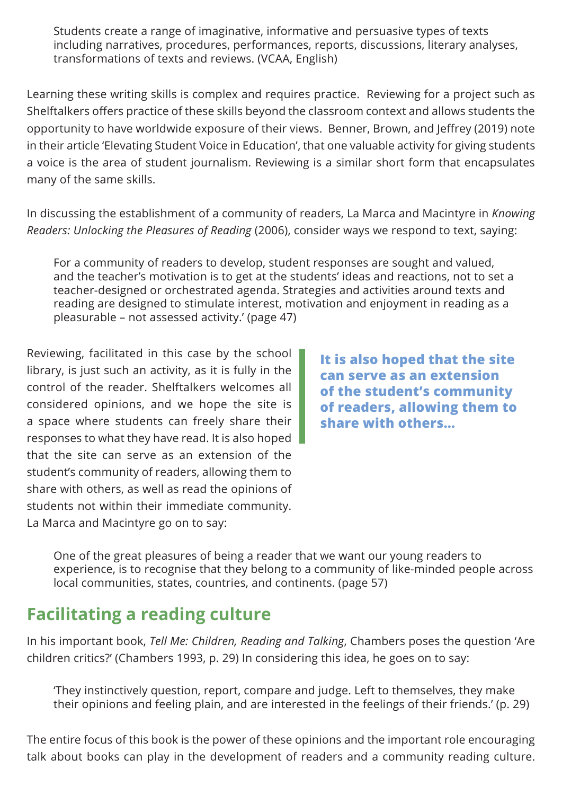Students create a range of imaginative, informative and persuasive types of texts including narratives, procedures, performances, reports, discussions, literary analyses, transformations of texts and reviews. (VCAA, English)

Learning these writing skills is complex and requires practice. Reviewing for a project such as Shelftalkers offers practice of these skills beyond the classroom context and allows students the opportunity to have worldwide exposure of their views. Benner, Brown, and Jeffrey (2019) note in their article 'Elevating Student Voice in Education', that one valuable activity for giving students a voice is the area of student journalism. Reviewing is a similar short form that encapsulates many of the same skills.

In discussing the establishment of a community of readers, La Marca and Macintyre in *Knowing Readers: Unlocking the Pleasures of Reading* (2006), consider ways we respond to text, saying:

For a community of readers to develop, student responses are sought and valued, and the teacher's motivation is to get at the students' ideas and reactions, not to set a teacher-designed or orchestrated agenda. Strategies and activities around texts and reading are designed to stimulate interest, motivation and enjoyment in reading as a pleasurable – not assessed activity.' (page 47)

Reviewing, facilitated in this case by the school library, is just such an activity, as it is fully in the control of the reader. Shelftalkers welcomes all considered opinions, and we hope the site is a space where students can freely share their responses to what they have read. It is also hoped that the site can serve as an extension of the student's community of readers, allowing them to share with others, as well as read the opinions of students not within their immediate community. La Marca and Macintyre go on to say:

**It is also hoped that the site can serve as an extension of the student's community of readers, allowing them to share with others…**

One of the great pleasures of being a reader that we want our young readers to experience, is to recognise that they belong to a community of like-minded people across local communities, states, countries, and continents. (page 57)

### **Facilitating a reading culture**

In his important book, *Tell Me: Children, Reading and Talking*, Chambers poses the question 'Are children critics?' (Chambers 1993, p. 29) In considering this idea, he goes on to say:

'They instinctively question, report, compare and judge. Left to themselves, they make their opinions and feeling plain, and are interested in the feelings of their friends.' (p. 29)

The entire focus of this book is the power of these opinions and the important role encouraging talk about books can play in the development of readers and a community reading culture.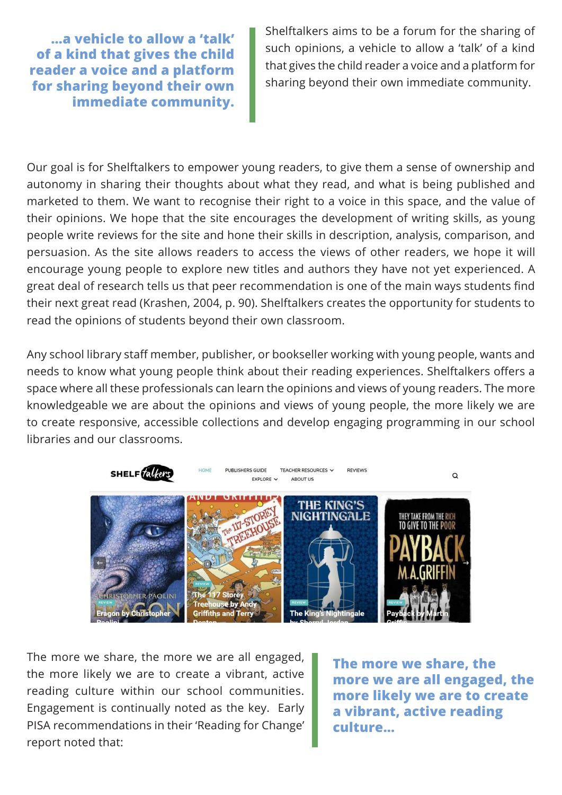**…a vehicle to allow a 'talk' of a kind that gives the child reader a voice and a platform for sharing beyond their own immediate community.**

Shelftalkers aims to be a forum for the sharing of such opinions, a vehicle to allow a 'talk' of a kind that gives the child reader a voice and a platform for sharing beyond their own immediate community.

Our goal is for Shelftalkers to empower young readers, to give them a sense of ownership and autonomy in sharing their thoughts about what they read, and what is being published and marketed to them. We want to recognise their right to a voice in this space, and the value of their opinions. We hope that the site encourages the development of writing skills, as young people write reviews for the site and hone their skills in description, analysis, comparison, and persuasion. As the site allows readers to access the views of other readers, we hope it will encourage young people to explore new titles and authors they have not yet experienced. A great deal of research tells us that peer recommendation is one of the main ways students find their next great read (Krashen, 2004, p. 90). Shelftalkers creates the opportunity for students to read the opinions of students beyond their own classroom.

Any school library staff member, publisher, or bookseller working with young people, wants and needs to know what young people think about their reading experiences. Shelftalkers offers a space where all these professionals can learn the opinions and views of young readers. The more knowledgeable we are about the opinions and views of young people, the more likely we are to create responsive, accessible collections and develop engaging programming in our school libraries and our classrooms.



The more we share, the more we are all engaged, the more likely we are to create a vibrant, active reading culture within our school communities. Engagement is continually noted as the key. Early PISA recommendations in their 'Reading for Change' report noted that:

**The more we share, the more we are all engaged, the more likely we are to create a vibrant, active reading culture…**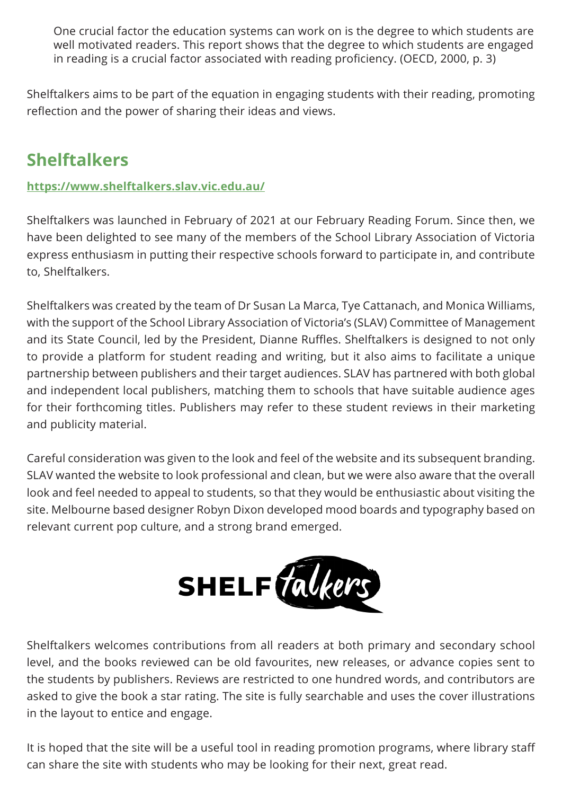One crucial factor the education systems can work on is the degree to which students are well motivated readers. This report shows that the degree to which students are engaged in reading is a crucial factor associated with reading proficiency. (OECD, 2000, p. 3)

Shelftalkers aims to be part of the equation in engaging students with their reading, promoting reflection and the power of sharing their ideas and views.

### **Shelftalkers**

#### **<https://www.shelftalkers.slav.vic.edu.au/>**

Shelftalkers was launched in February of 2021 at our February Reading Forum. Since then, we have been delighted to see many of the members of the School Library Association of Victoria express enthusiasm in putting their respective schools forward to participate in, and contribute to, Shelftalkers.

Shelftalkers was created by the team of Dr Susan La Marca, Tye Cattanach, and Monica Williams, with the support of the School Library Association of Victoria's (SLAV) Committee of Management and its State Council, led by the President, Dianne Ruffles. Shelftalkers is designed to not only to provide a platform for student reading and writing, but it also aims to facilitate a unique partnership between publishers and their target audiences. SLAV has partnered with both global and independent local publishers, matching them to schools that have suitable audience ages for their forthcoming titles. Publishers may refer to these student reviews in their marketing and publicity material.

Careful consideration was given to the look and feel of the website and its subsequent branding. SLAV wanted the website to look professional and clean, but we were also aware that the overall look and feel needed to appeal to students, so that they would be enthusiastic about visiting the site. Melbourne based designer Robyn Dixon developed mood boards and typography based on relevant current pop culture, and a strong brand emerged.



Shelftalkers welcomes contributions from all readers at both primary and secondary school level, and the books reviewed can be old favourites, new releases, or advance copies sent to the students by publishers. Reviews are restricted to one hundred words, and contributors are asked to give the book a star rating. The site is fully searchable and uses the cover illustrations in the layout to entice and engage.

It is hoped that the site will be a useful tool in reading promotion programs, where library staff can share the site with students who may be looking for their next, great read.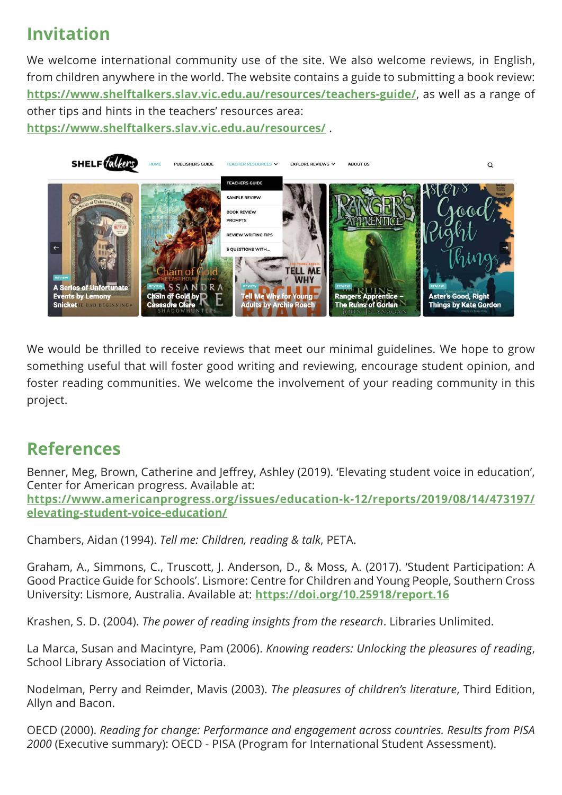## **Invitation**

We welcome international community use of the site. We also welcome reviews, in English, from children anywhere in the world. The website contains a guide to submitting a book review: **<https://www.shelftalkers.slav.vic.edu.au/resources/teachers-guide/>**, as well as a range of other tips and hints in the teachers' resources area: **<https://www.shelftalkers.slav.vic.edu.au/resources/>** .



We would be thrilled to receive reviews that meet our minimal guidelines. We hope to grow something useful that will foster good writing and reviewing, encourage student opinion, and foster reading communities. We welcome the involvement of your reading community in this project.

#### **References**

Benner, Meg, Brown, Catherine and Jeffrey, Ashley (2019). 'Elevating student voice in education', Center for American progress. Available at: **[https://www.americanprogress.org/issues/education-k-12/reports/2019/08/14/473197/](https://www.americanprogress.org/issues/education-k-12/reports/2019/08/14/473197/elevating-student-voice-education/) [elevating-student-voice-education/](https://www.americanprogress.org/issues/education-k-12/reports/2019/08/14/473197/elevating-student-voice-education/)**

Chambers, Aidan (1994). *Tell me: Children, reading & talk*, PETA.

Graham, A., Simmons, C., Truscott, J. Anderson, D., & Moss, A. (2017). 'Student Participation: A Good Practice Guide for Schools'. Lismore: Centre for Children and Young People, Southern Cross University: Lismore, Australia. Available at: **<https://doi.org/10.25918/report.16>**

Krashen, S. D. (2004). *The power of reading insights from the research*. Libraries Unlimited.

La Marca, Susan and Macintyre, Pam (2006). *Knowing readers: Unlocking the pleasures of reading*, School Library Association of Victoria.

Nodelman, Perry and Reimder, Mavis (2003). *The pleasures of children's literature*, Third Edition, Allyn and Bacon.

OECD (2000). *Reading for change: Performance and engagement across countries. Results from PISA 2000* (Executive summary): OECD - PISA (Program for International Student Assessment).